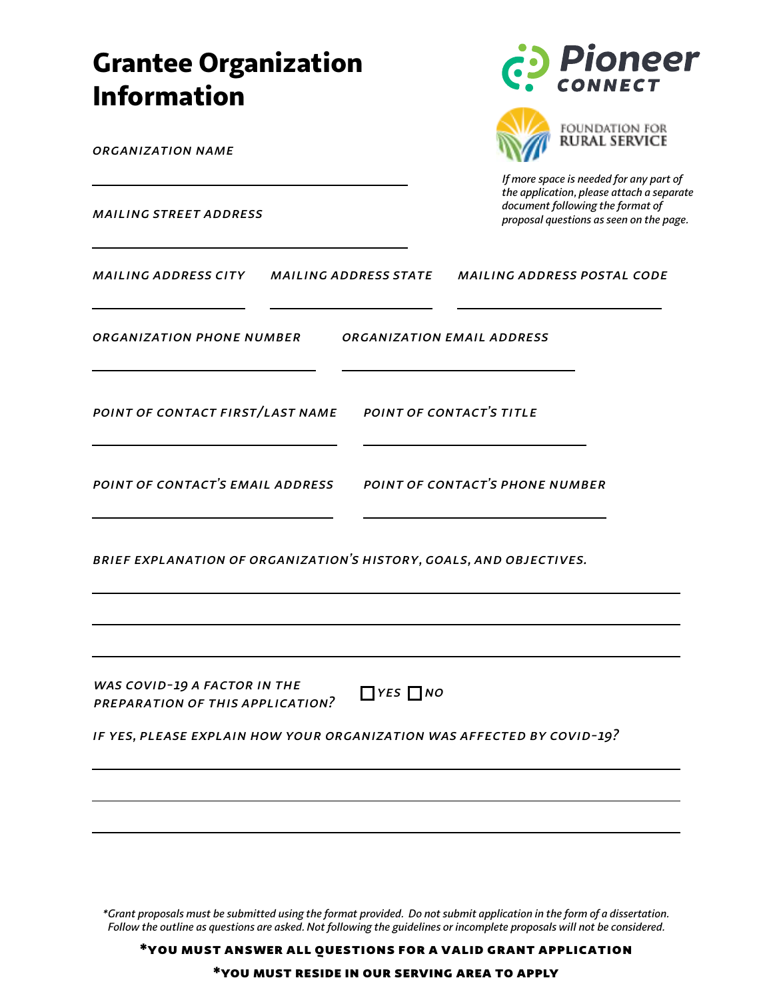| <b>Grantee Organization</b><br><b>Information</b>                                                                                                                  | <b>Pioneer</b><br>CONNECT                                                                                                                                           |
|--------------------------------------------------------------------------------------------------------------------------------------------------------------------|---------------------------------------------------------------------------------------------------------------------------------------------------------------------|
| <b>ORGANIZATION NAME</b>                                                                                                                                           | FOUNDATION FOR<br><b>RURAL SERVICE</b>                                                                                                                              |
| <b>MAILING STREET ADDRESS</b>                                                                                                                                      | If more space is needed for any part of<br>the application, please attach a separate<br>document following the format of<br>proposal questions as seen on the page. |
| MAILING ADDRESS CITY<br><b>MAILING ADDRESS STATE</b>                                                                                                               | <b>MAILING ADDRESS POSTAL CODE</b>                                                                                                                                  |
| ORGANIZATION PHONE NUMBER                                                                                                                                          | ORGANIZATION EMAIL ADDRESS                                                                                                                                          |
| POINT OF CONTACT FIRST/LAST NAME                                                                                                                                   | POINT OF CONTACT'S TITLE                                                                                                                                            |
| POINT OF CONTACT'S EMAIL ADDRESS                                                                                                                                   | POINT OF CONTACT'S PHONE NUMBER                                                                                                                                     |
| BRIEF EXPLANATION OF ORGANIZATION'S HISTORY, GOALS, AND OBJECTIVES.                                                                                                |                                                                                                                                                                     |
| WAS COVID-19 A FACTOR IN THE<br>$\Box$ YES $\Box$ NO<br>PREPARATION OF THIS APPLICATION?<br>IF YES, PLEASE EXPLAIN HOW YOUR ORGANIZATION WAS AFFECTED BY COVID-19? |                                                                                                                                                                     |
|                                                                                                                                                                    |                                                                                                                                                                     |

*\*Grant proposals must be submitted using the format provided. Do not submit application in the form of a dissertation. Follow the outline as questions are asked. Not following the guidelines or incomplete proposals will not be considered.*

\*you must answer all questions for a valid grant application

\*you must reside in our serving area to apply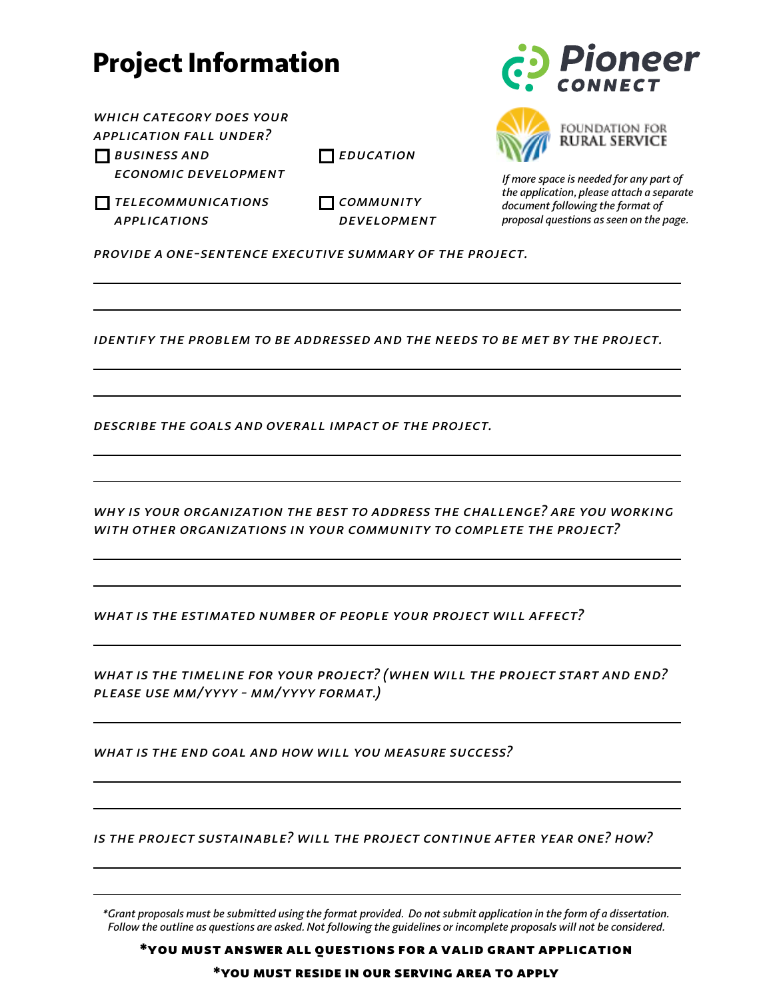## Project Information

*which category does your application fall under?*

*Business and* 

*Economic Development*

*Education*

*Telecommunications Applications*

*Community Development*





*If more space is needed for any part of the application, please attach a separate document following the format of proposal questions as seen on the page.*

*provide a one-sentence executive summary of the project.*

*Identify the problem to be addressed and the needs to be met by the project.*

*Describe the goals and overall impact of the project.*

*Why is your organization the best to address the challenge? Are you working with other organizations in your community to complete the project?*

*What is the estimated number of people your project will affect?*

*What is the timeline for your project? (When will the project start and end? Please use MM/YYYY - MM/YYYY format.)*

*What is the end goal and how will you measure success?*

*is the project sustainable? Will the project continue after year one? How?*

*\*Grant proposals must be submitted using the format provided. Do not submit application in the form of a dissertation. Follow the outline as questions are asked. Not following the guidelines or incomplete proposals will not be considered.*

\*you must answer all questions for a valid grant application

\*you must reside in our serving area to apply